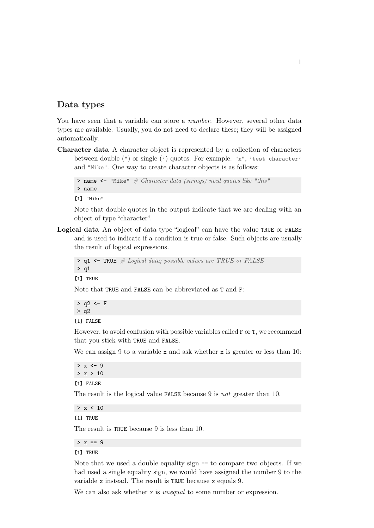## Data types

You have seen that a variable can store a *number*. However, several other data types are available. Usually, you do not need to declare these; they will be assigned automatically.

Character data A character object is represented by a collection of characters between double (") or single (') quotes. For example: "x", 'test character' and "Mike". One way to create character objects is as follows:

```
> name <- "Mike" # Character data (strings) need quotes like "this"
> name
```
[1] "Mike"

Note that double quotes in the output indicate that we are dealing with an object of type "character".

Logical data An object of data type "logical" can have the value TRUE or FALSE and is used to indicate if a condition is true or false. Such objects are usually the result of logical expressions.

```
> q1 <- TRUE # Logical data; possible values are TRUE or FALSE
> q1
```
[1] TRUE

Note that TRUE and FALSE can be abbreviated as T and F:

```
> q2 <- F
> q2
```
[1] FALSE

However, to avoid confusion with possible variables called F or T, we recommend that you stick with TRUE and FALSE.

We can assign 9 to a variable x and ask whether x is greater or less than 10:

> x **<-** 9  $> x > 10$ [1] FALSE

The result is the logical value FALSE because 9 is not greater than 10.

 $> x < 10$ 

[1] TRUE

The result is TRUE because 9 is less than 10.

 $> x == 9$ 

[1] TRUE

Note that we used a double equality sign == to compare two objects. If we had used a single equality sign, we would have assigned the number 9 to the variable x instead. The result is TRUE because x equals 9.

We can also ask whether x is *unequal* to some number or expression.